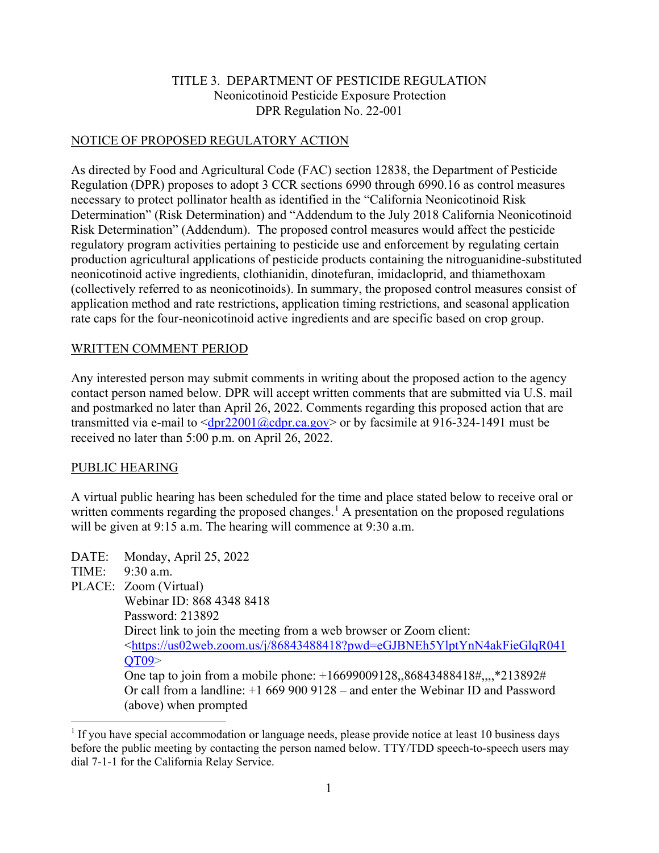# TITLE 3. DEPARTMENT OF PESTICIDE REGULATION Neonicotinoid Pesticide Exposure Protection DPR Regulation No. 22-001

#### NOTICE OF PROPOSED REGULATORY ACTION

As directed by Food and Agricultural Code (FAC) section 12838, the Department of Pesticide Regulation (DPR) proposes to adopt 3 CCR sections 6990 through 6990.16 as control measures necessary to protect pollinator health as identified in the "California Neonicotinoid Risk Determination" (Risk Determination) and "Addendum to the July 2018 California Neonicotinoid Risk Determination" (Addendum). The proposed control measures would affect the pesticide regulatory program activities pertaining to pesticide use and enforcement by regulating certain production agricultural applications of pesticide products containing the nitroguanidine-substituted neonicotinoid active ingredients, clothianidin, dinotefuran, imidacloprid, and thiamethoxam (collectively referred to as neonicotinoids). In summary, the proposed control measures consist of application method and rate restrictions, application timing restrictions, and seasonal application rate caps for the four-neonicotinoid active ingredients and are specific based on crop group.

#### WRITTEN COMMENT PERIOD

Any interested person may submit comments in writing about the proposed action to the agency contact person named below. DPR will accept written comments that are submitted via U.S. mail and postmarked no later than April 26, 2022. Comments regarding this proposed action that are transmitted via e-mail to  $\langle \text{dpr22001}(\omega) \text{dpr.ca.gov} \rangle$  or by facsimile at 916-324-1491 must be received no later than 5:00 p.m. on April 26, 2022.

#### PUBLIC HEARING

A virtual public hearing has been scheduled for the time and place stated below to receive oral or written comments regarding the proposed changes.<sup>1</sup> A presentation on the proposed regulations will be given at 9:15 a.m. The hearing will commence at 9:30 a.m.

DATE: Monday, April 25, 2022

TIME: 9:30 a.m.

 $\overline{a}$ 

PLACE: Zoom (Virtual)

 Webinar ID: 868 4348 8418 Password: 213892 Direct link to join the meeting from a web browser or Zoom client: [<https://us02web.zoom.us/j/86843488418?pwd=eGJBNEh5YlptYnN4akFieGlqR041](https://us02web.zoom.us/j/86843488418?pwd=eGJBNEh5YlptYnN4akFieGlqR041QT09) QT09> One tap to join from a mobile phone: +16699009128,,86843488418#,,,,\*213892# Or call from a landline: +1 669 900 9128 – and enter the Webinar ID and Password (above) when prompted

 $1$  If you have special accommodation or language needs, please provide notice at least 10 business days before the public meeting by contacting the person named below. TTY/TDD speech-to-speech users may dial 7-1-1 for the California Relay Service.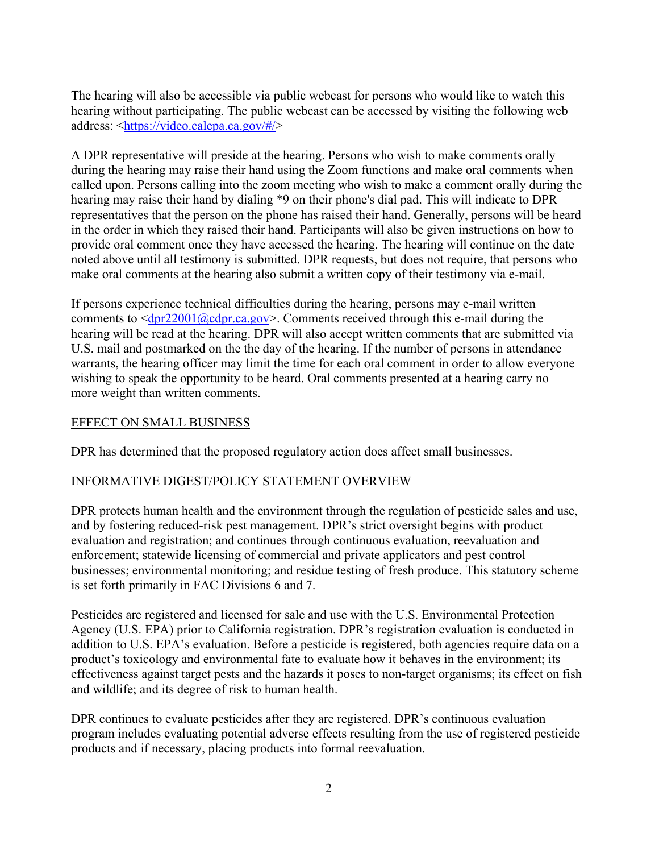The hearing will also be accessible via public webcast for persons who would like to watch this hearing without participating. The public webcast can be accessed by visiting the following web address: [<https://video.calepa.ca.gov/#/>](https://video.calepa.ca.gov/#/)

A DPR representative will preside at the hearing. Persons who wish to make comments orally during the hearing may raise their hand using the Zoom functions and make oral comments when called upon. Persons calling into the zoom meeting who wish to make a comment orally during the hearing may raise their hand by dialing \*9 on their phone's dial pad. This will indicate to DPR representatives that the person on the phone has raised their hand. Generally, persons will be heard in the order in which they raised their hand. Participants will also be given instructions on how to provide oral comment once they have accessed the hearing. The hearing will continue on the date noted above until all testimony is submitted. DPR requests, but does not require, that persons who make oral comments at the hearing also submit a written copy of their testimony via e-mail.

If persons experience technical difficulties during the hearing, persons may e-mail written comments to  $\langle \frac{dpr22001}{\omega} \frac{cdprca.gov}{\rangle}$ . Comments received through this e-mail during the hearing will be read at the hearing. DPR will also accept written comments that are submitted via U.S. mail and postmarked on the the day of the hearing. If the number of persons in attendance warrants, the hearing officer may limit the time for each oral comment in order to allow everyone wishing to speak the opportunity to be heard. Oral comments presented at a hearing carry no more weight than written comments.

## EFFECT ON SMALL BUSINESS

DPR has determined that the proposed regulatory action does affect small businesses.

# INFORMATIVE DIGEST/POLICY STATEMENT OVERVIEW

DPR protects human health and the environment through the regulation of pesticide sales and use, and by fostering reduced-risk pest management. DPR's strict oversight begins with product evaluation and registration; and continues through continuous evaluation, reevaluation and enforcement; statewide licensing of commercial and private applicators and pest control businesses; environmental monitoring; and residue testing of fresh produce. This statutory scheme is set forth primarily in FAC Divisions 6 and 7.

Pesticides are registered and licensed for sale and use with the U.S. Environmental Protection Agency (U.S. EPA) prior to California registration. DPR's registration evaluation is conducted in addition to U.S. EPA's evaluation. Before a pesticide is registered, both agencies require data on a product's toxicology and environmental fate to evaluate how it behaves in the environment; its effectiveness against target pests and the hazards it poses to non-target organisms; its effect on fish and wildlife; and its degree of risk to human health.

DPR continues to evaluate pesticides after they are registered. DPR's continuous evaluation program includes evaluating potential adverse effects resulting from the use of registered pesticide products and if necessary, placing products into formal reevaluation.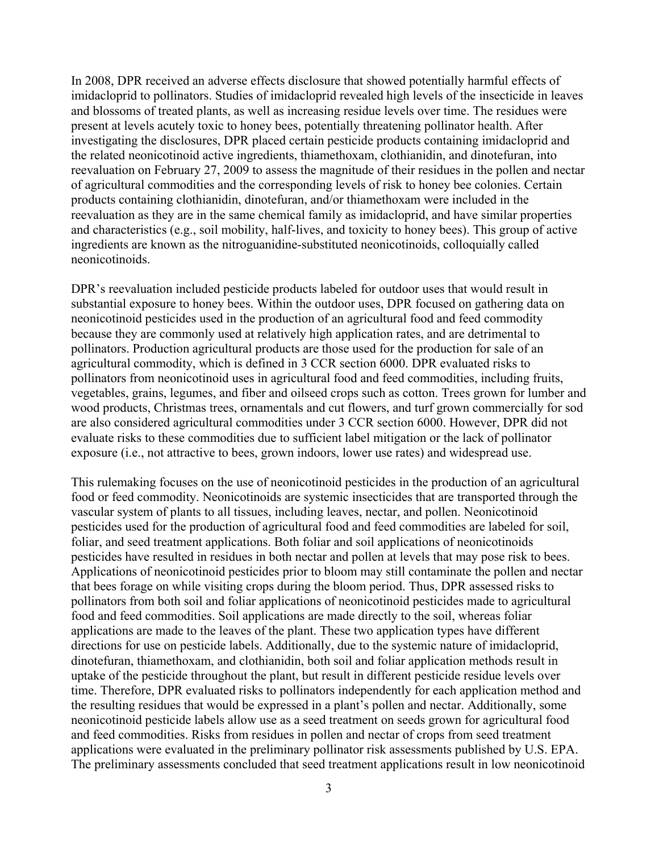In 2008, DPR received an adverse effects disclosure that showed potentially harmful effects of imidacloprid to pollinators. Studies of imidacloprid revealed high levels of the insecticide in leaves and blossoms of treated plants, as well as increasing residue levels over time. The residues were present at levels acutely toxic to honey bees, potentially threatening pollinator health. After investigating the disclosures, DPR placed certain pesticide products containing imidacloprid and the related neonicotinoid active ingredients, thiamethoxam, clothianidin, and dinotefuran, into reevaluation on February 27, 2009 to assess the magnitude of their residues in the pollen and nectar of agricultural commodities and the corresponding levels of risk to honey bee colonies. Certain products containing clothianidin, dinotefuran, and/or thiamethoxam were included in the reevaluation as they are in the same chemical family as imidacloprid, and have similar properties and characteristics (e.g., soil mobility, half-lives, and toxicity to honey bees). This group of active ingredients are known as the nitroguanidine-substituted neonicotinoids, colloquially called neonicotinoids.

DPR's reevaluation included pesticide products labeled for outdoor uses that would result in substantial exposure to honey bees. Within the outdoor uses, DPR focused on gathering data on neonicotinoid pesticides used in the production of an agricultural food and feed commodity because they are commonly used at relatively high application rates, and are detrimental to pollinators. Production agricultural products are those used for the production for sale of an agricultural commodity, which is defined in 3 CCR section 6000. DPR evaluated risks to pollinators from neonicotinoid uses in agricultural food and feed commodities, including fruits, vegetables, grains, legumes, and fiber and oilseed crops such as cotton. Trees grown for lumber and wood products, Christmas trees, ornamentals and cut flowers, and turf grown commercially for sod are also considered agricultural commodities under 3 CCR section 6000. However, DPR did not evaluate risks to these commodities due to sufficient label mitigation or the lack of pollinator exposure (i.e., not attractive to bees, grown indoors, lower use rates) and widespread use.

This rulemaking focuses on the use of neonicotinoid pesticides in the production of an agricultural food or feed commodity. Neonicotinoids are systemic insecticides that are transported through the vascular system of plants to all tissues, including leaves, nectar, and pollen. Neonicotinoid pesticides used for the production of agricultural food and feed commodities are labeled for soil, foliar, and seed treatment applications. Both foliar and soil applications of neonicotinoids pesticides have resulted in residues in both nectar and pollen at levels that may pose risk to bees. Applications of neonicotinoid pesticides prior to bloom may still contaminate the pollen and nectar that bees forage on while visiting crops during the bloom period. Thus, DPR assessed risks to pollinators from both soil and foliar applications of neonicotinoid pesticides made to agricultural food and feed commodities. Soil applications are made directly to the soil, whereas foliar applications are made to the leaves of the plant. These two application types have different directions for use on pesticide labels. Additionally, due to the systemic nature of imidacloprid, dinotefuran, thiamethoxam, and clothianidin, both soil and foliar application methods result in uptake of the pesticide throughout the plant, but result in different pesticide residue levels over time. Therefore, DPR evaluated risks to pollinators independently for each application method and the resulting residues that would be expressed in a plant's pollen and nectar. Additionally, some neonicotinoid pesticide labels allow use as a seed treatment on seeds grown for agricultural food and feed commodities. Risks from residues in pollen and nectar of crops from seed treatment applications were evaluated in the preliminary pollinator risk assessments published by U.S. EPA. The preliminary assessments concluded that seed treatment applications result in low neonicotinoid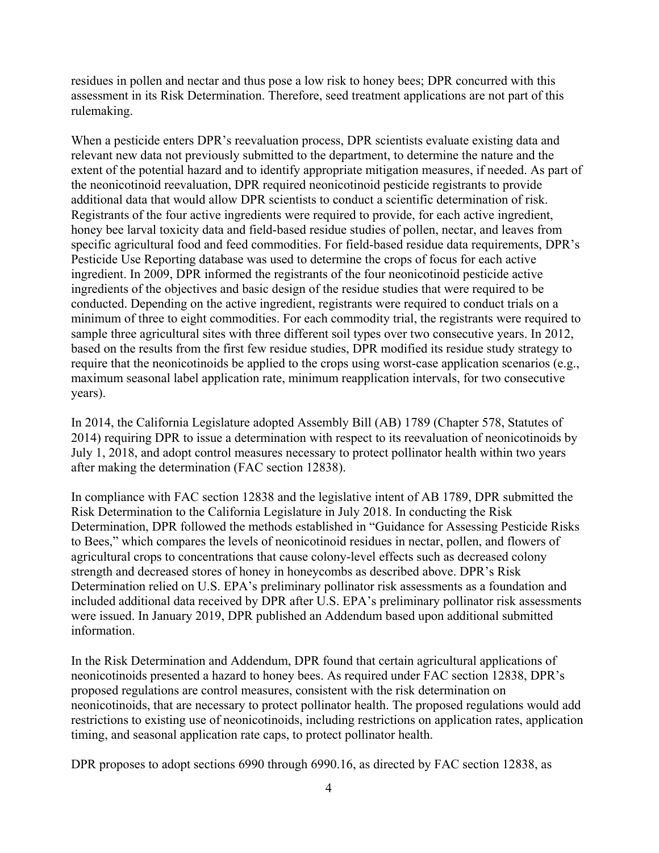residues in pollen and nectar and thus pose a low risk to honey bees; DPR concurred with this assessment in its Risk Determination. Therefore, seed treatment applications are not part of this rulemaking.

When a pesticide enters DPR's reevaluation process, DPR scientists evaluate existing data and relevant new data not previously submitted to the department, to determine the nature and the extent of the potential hazard and to identify appropriate mitigation measures, if needed. As part of the neonicotinoid reevaluation, DPR required neonicotinoid pesticide registrants to provide additional data that would allow DPR scientists to conduct a scientific determination of risk. Registrants of the four active ingredients were required to provide, for each active ingredient, honey bee larval toxicity data and field-based residue studies of pollen, nectar, and leaves from specific agricultural food and feed commodities. For field-based residue data requirements, DPR's Pesticide Use Reporting database was used to determine the crops of focus for each active ingredient. In 2009, DPR informed the registrants of the four neonicotinoid pesticide active ingredients of the objectives and basic design of the residue studies that were required to be conducted. Depending on the active ingredient, registrants were required to conduct trials on a minimum of three to eight commodities. For each commodity trial, the registrants were required to sample three agricultural sites with three different soil types over two consecutive years. In 2012, based on the results from the first few residue studies, DPR modified its residue study strategy to require that the neonicotinoids be applied to the crops using worst-case application scenarios (e.g., maximum seasonal label application rate, minimum reapplication intervals, for two consecutive years).

In 2014, the California Legislature adopted Assembly Bill (AB) 1789 (Chapter 578, Statutes of 2014) requiring DPR to issue a determination with respect to its reevaluation of neonicotinoids by July 1, 2018, and adopt control measures necessary to protect pollinator health within two years after making the determination (FAC section 12838).

In compliance with FAC section 12838 and the legislative intent of AB 1789, DPR submitted the Risk Determination to the California Legislature in July 2018. In conducting the Risk Determination, DPR followed the methods established in "Guidance for Assessing Pesticide Risks to Bees," which compares the levels of neonicotinoid residues in nectar, pollen, and flowers of agricultural crops to concentrations that cause colony-level effects such as decreased colony strength and decreased stores of honey in honeycombs as described above. DPR's Risk Determination relied on U.S. EPA's preliminary pollinator risk assessments as a foundation and included additional data received by DPR after U.S. EPA's preliminary pollinator risk assessments were issued. In January 2019, DPR published an Addendum based upon additional submitted information.

In the Risk Determination and Addendum, DPR found that certain agricultural applications of neonicotinoids presented a hazard to honey bees. As required under FAC section 12838, DPR's proposed regulations are control measures, consistent with the risk determination on neonicotinoids, that are necessary to protect pollinator health. The proposed regulations would add restrictions to existing use of neonicotinoids, including restrictions on application rates, application timing, and seasonal application rate caps, to protect pollinator health.

DPR proposes to adopt sections 6990 through 6990.16, as directed by FAC section 12838, as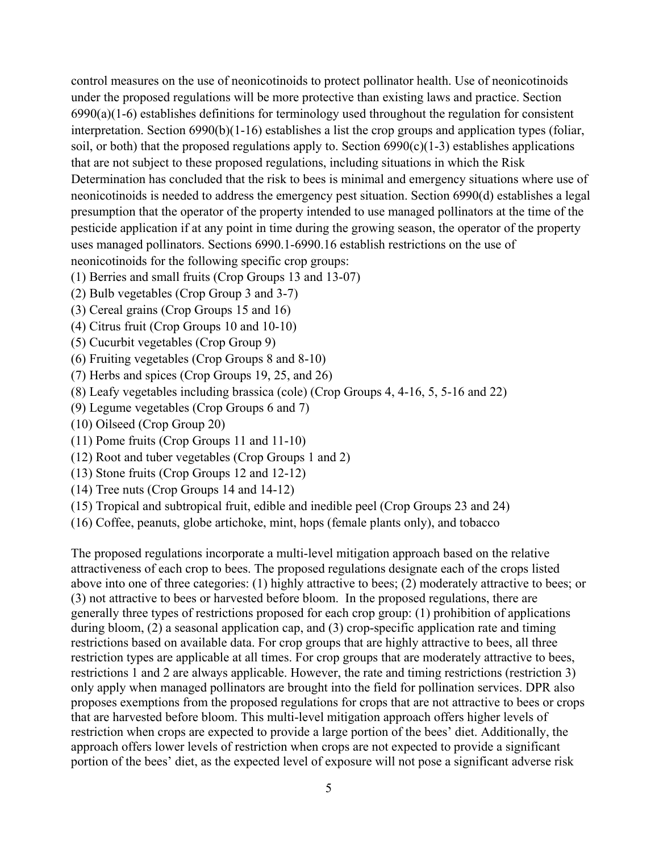control measures on the use of neonicotinoids to protect pollinator health. Use of neonicotinoids under the proposed regulations will be more protective than existing laws and practice. Section 6990(a)(1-6) establishes definitions for terminology used throughout the regulation for consistent interpretation. Section 6990(b)(1-16) establishes a list the crop groups and application types (foliar, soil, or both) that the proposed regulations apply to. Section  $6990(c)(1-3)$  establishes applications that are not subject to these proposed regulations, including situations in which the Risk Determination has concluded that the risk to bees is minimal and emergency situations where use of neonicotinoids is needed to address the emergency pest situation. Section 6990(d) establishes a legal presumption that the operator of the property intended to use managed pollinators at the time of the pesticide application if at any point in time during the growing season, the operator of the property uses managed pollinators. Sections 6990.1-6990.16 establish restrictions on the use of neonicotinoids for the following specific crop groups:

- (1) Berries and small fruits (Crop Groups 13 and 13-07)
- (2) Bulb vegetables (Crop Group 3 and 3-7)
- (3) Cereal grains (Crop Groups 15 and 16)
- (4) Citrus fruit (Crop Groups 10 and 10-10)
- (5) Cucurbit vegetables (Crop Group 9)
- (6) Fruiting vegetables (Crop Groups 8 and 8-10)
- (7) Herbs and spices (Crop Groups 19, 25, and 26)
- (8) Leafy vegetables including brassica (cole) (Crop Groups 4, 4-16, 5, 5-16 and 22)
- (9) Legume vegetables (Crop Groups 6 and 7)
- (10) Oilseed (Crop Group 20)
- (11) Pome fruits (Crop Groups 11 and 11-10)
- (12) Root and tuber vegetables (Crop Groups 1 and 2)
- (13) Stone fruits (Crop Groups 12 and 12-12)
- (14) Tree nuts (Crop Groups 14 and 14-12)
- (15) Tropical and subtropical fruit, edible and inedible peel (Crop Groups 23 and 24)
- (16) Coffee, peanuts, globe artichoke, mint, hops (female plants only), and tobacco

The proposed regulations incorporate a multi-level mitigation approach based on the relative attractiveness of each crop to bees. The proposed regulations designate each of the crops listed above into one of three categories: (1) highly attractive to bees; (2) moderately attractive to bees; or (3) not attractive to bees or harvested before bloom. In the proposed regulations, there are generally three types of restrictions proposed for each crop group: (1) prohibition of applications during bloom, (2) a seasonal application cap, and (3) crop-specific application rate and timing restrictions based on available data. For crop groups that are highly attractive to bees, all three restriction types are applicable at all times. For crop groups that are moderately attractive to bees, restrictions 1 and 2 are always applicable. However, the rate and timing restrictions (restriction 3) only apply when managed pollinators are brought into the field for pollination services. DPR also proposes exemptions from the proposed regulations for crops that are not attractive to bees or crops that are harvested before bloom. This multi-level mitigation approach offers higher levels of restriction when crops are expected to provide a large portion of the bees' diet. Additionally, the approach offers lower levels of restriction when crops are not expected to provide a significant portion of the bees' diet, as the expected level of exposure will not pose a significant adverse risk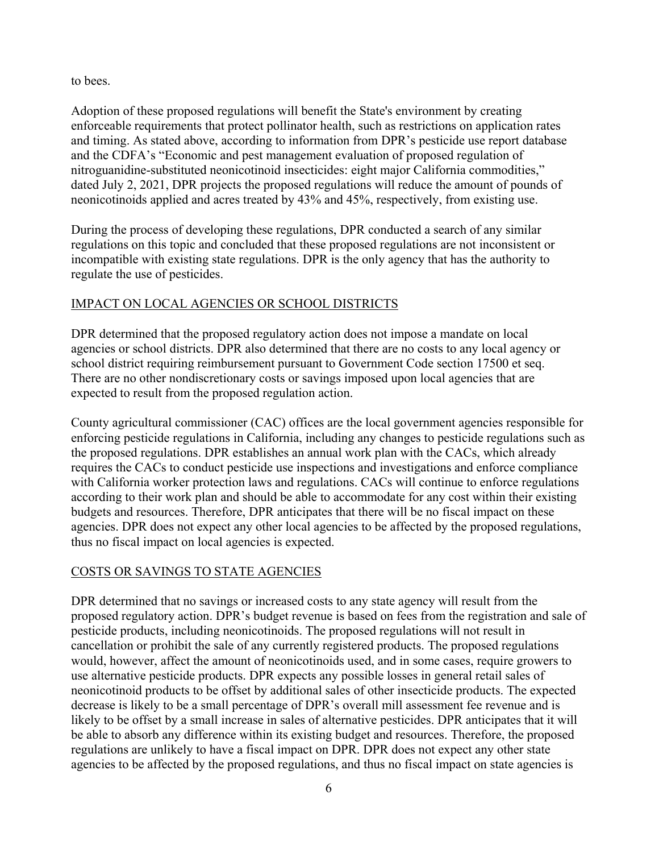#### to bees.

Adoption of these proposed regulations will benefit the State's environment by creating enforceable requirements that protect pollinator health, such as restrictions on application rates and timing. As stated above, according to information from DPR's pesticide use report database and the CDFA's "Economic and pest management evaluation of proposed regulation of nitroguanidine-substituted neonicotinoid insecticides: eight major California commodities," dated July 2, 2021, DPR projects the proposed regulations will reduce the amount of pounds of neonicotinoids applied and acres treated by 43% and 45%, respectively, from existing use.

During the process of developing these regulations, DPR conducted a search of any similar regulations on this topic and concluded that these proposed regulations are not inconsistent or incompatible with existing state regulations. DPR is the only agency that has the authority to regulate the use of pesticides.

# IMPACT ON LOCAL AGENCIES OR SCHOOL DISTRICTS

DPR determined that the proposed regulatory action does not impose a mandate on local agencies or school districts. DPR also determined that there are no costs to any local agency or school district requiring reimbursement pursuant to Government Code section 17500 et seq. There are no other nondiscretionary costs or savings imposed upon local agencies that are expected to result from the proposed regulation action.

County agricultural commissioner (CAC) offices are the local government agencies responsible for enforcing pesticide regulations in California, including any changes to pesticide regulations such as the proposed regulations. DPR establishes an annual work plan with the CACs, which already requires the CACs to conduct pesticide use inspections and investigations and enforce compliance with California worker protection laws and regulations. CACs will continue to enforce regulations according to their work plan and should be able to accommodate for any cost within their existing budgets and resources. Therefore, DPR anticipates that there will be no fiscal impact on these agencies. DPR does not expect any other local agencies to be affected by the proposed regulations, thus no fiscal impact on local agencies is expected.

# COSTS OR SAVINGS TO STATE AGENCIES

DPR determined that no savings or increased costs to any state agency will result from the proposed regulatory action. DPR's budget revenue is based on fees from the registration and sale of pesticide products, including neonicotinoids. The proposed regulations will not result in cancellation or prohibit the sale of any currently registered products. The proposed regulations would, however, affect the amount of neonicotinoids used, and in some cases, require growers to use alternative pesticide products. DPR expects any possible losses in general retail sales of neonicotinoid products to be offset by additional sales of other insecticide products. The expected decrease is likely to be a small percentage of DPR's overall mill assessment fee revenue and is likely to be offset by a small increase in sales of alternative pesticides. DPR anticipates that it will be able to absorb any difference within its existing budget and resources. Therefore, the proposed regulations are unlikely to have a fiscal impact on DPR. DPR does not expect any other state agencies to be affected by the proposed regulations, and thus no fiscal impact on state agencies is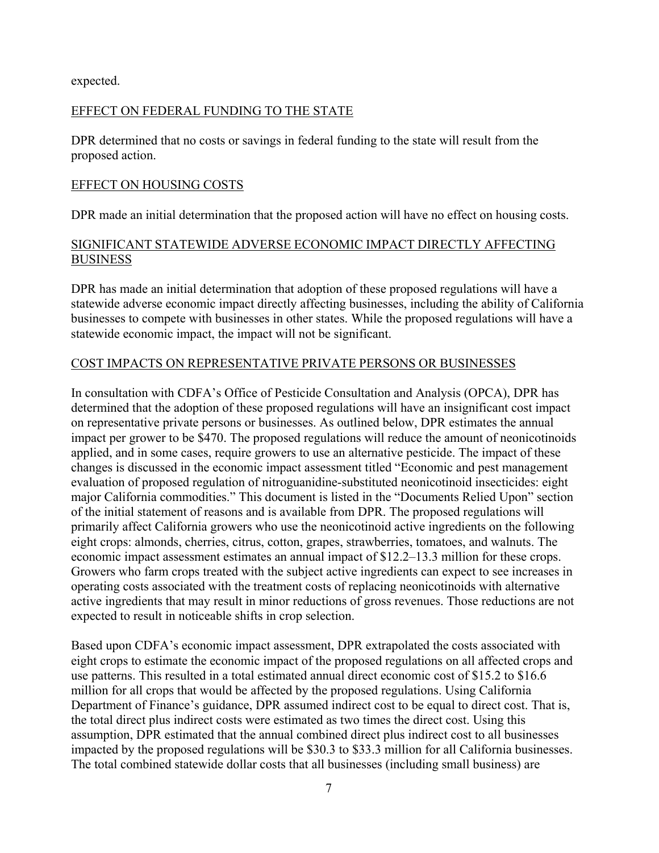expected.

# EFFECT ON FEDERAL FUNDING TO THE STATE

DPR determined that no costs or savings in federal funding to the state will result from the proposed action.

#### EFFECT ON HOUSING COSTS

DPR made an initial determination that the proposed action will have no effect on housing costs.

## SIGNIFICANT STATEWIDE ADVERSE ECONOMIC IMPACT DIRECTLY AFFECTING BUSINESS

DPR has made an initial determination that adoption of these proposed regulations will have a statewide adverse economic impact directly affecting businesses, including the ability of California businesses to compete with businesses in other states. While the proposed regulations will have a statewide economic impact, the impact will not be significant.

## COST IMPACTS ON REPRESENTATIVE PRIVATE PERSONS OR BUSINESSES

In consultation with CDFA's Office of Pesticide Consultation and Analysis (OPCA), DPR has determined that the adoption of these proposed regulations will have an insignificant cost impact on representative private persons or businesses. As outlined below, DPR estimates the annual impact per grower to be \$470. The proposed regulations will reduce the amount of neonicotinoids applied, and in some cases, require growers to use an alternative pesticide. The impact of these changes is discussed in the economic impact assessment titled "Economic and pest management evaluation of proposed regulation of nitroguanidine-substituted neonicotinoid insecticides: eight major California commodities." This document is listed in the "Documents Relied Upon" section of the initial statement of reasons and is available from DPR. The proposed regulations will primarily affect California growers who use the neonicotinoid active ingredients on the following eight crops: almonds, cherries, citrus, cotton, grapes, strawberries, tomatoes, and walnuts. The economic impact assessment estimates an annual impact of \$12.2–13.3 million for these crops. Growers who farm crops treated with the subject active ingredients can expect to see increases in operating costs associated with the treatment costs of replacing neonicotinoids with alternative active ingredients that may result in minor reductions of gross revenues. Those reductions are not expected to result in noticeable shifts in crop selection.

Based upon CDFA's economic impact assessment, DPR extrapolated the costs associated with eight crops to estimate the economic impact of the proposed regulations on all affected crops and use patterns. This resulted in a total estimated annual direct economic cost of \$15.2 to \$16.6 million for all crops that would be affected by the proposed regulations. Using California Department of Finance's guidance, DPR assumed indirect cost to be equal to direct cost. That is, the total direct plus indirect costs were estimated as two times the direct cost. Using this assumption, DPR estimated that the annual combined direct plus indirect cost to all businesses impacted by the proposed regulations will be \$30.3 to \$33.3 million for all California businesses. The total combined statewide dollar costs that all businesses (including small business) are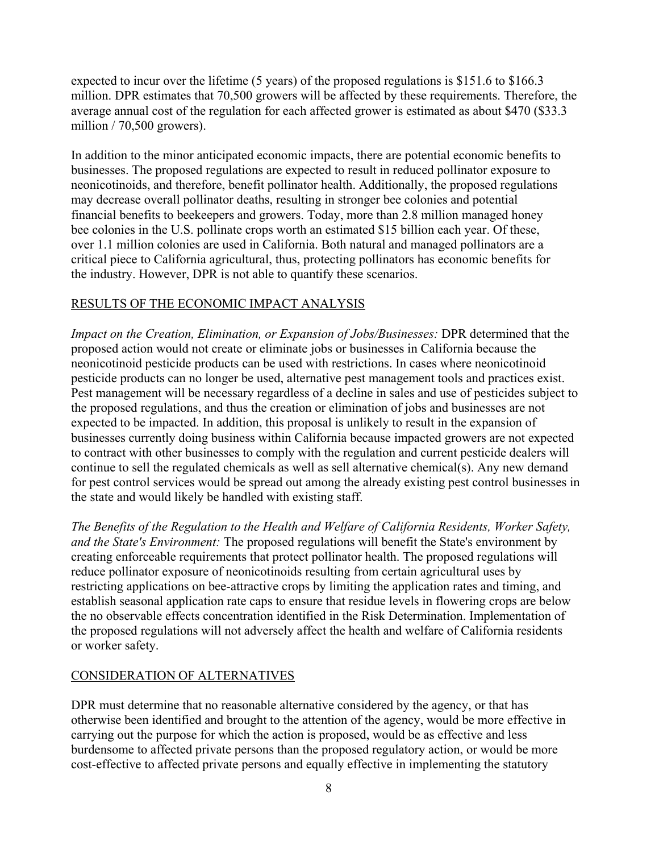expected to incur over the lifetime (5 years) of the proposed regulations is \$151.6 to \$166.3 million. DPR estimates that 70,500 growers will be affected by these requirements. Therefore, the average annual cost of the regulation for each affected grower is estimated as about \$470 (\$33.3 million / 70,500 growers).

In addition to the minor anticipated economic impacts, there are potential economic benefits to businesses. The proposed regulations are expected to result in reduced pollinator exposure to neonicotinoids, and therefore, benefit pollinator health. Additionally, the proposed regulations may decrease overall pollinator deaths, resulting in stronger bee colonies and potential financial benefits to beekeepers and growers. Today, more than 2.8 million managed honey bee colonies in the U.S. pollinate crops worth an estimated \$15 billion each year. Of these, over 1.1 million colonies are used in California. Both natural and managed pollinators are a critical piece to California agricultural, thus, protecting pollinators has economic benefits for the industry. However, DPR is not able to quantify these scenarios.

## RESULTS OF THE ECONOMIC IMPACT ANALYSIS

*Impact on the Creation, Elimination, or Expansion of Jobs/Businesses:* DPR determined that the proposed action would not create or eliminate jobs or businesses in California because the neonicotinoid pesticide products can be used with restrictions. In cases where neonicotinoid pesticide products can no longer be used, alternative pest management tools and practices exist. Pest management will be necessary regardless of a decline in sales and use of pesticides subject to the proposed regulations, and thus the creation or elimination of jobs and businesses are not expected to be impacted. In addition, this proposal is unlikely to result in the expansion of businesses currently doing business within California because impacted growers are not expected to contract with other businesses to comply with the regulation and current pesticide dealers will continue to sell the regulated chemicals as well as sell alternative chemical(s). Any new demand for pest control services would be spread out among the already existing pest control businesses in the state and would likely be handled with existing staff.

*The Benefits of the Regulation to the Health and Welfare of California Residents, Worker Safety, and the State's Environment:* The proposed regulations will benefit the State's environment by creating enforceable requirements that protect pollinator health. The proposed regulations will reduce pollinator exposure of neonicotinoids resulting from certain agricultural uses by restricting applications on bee-attractive crops by limiting the application rates and timing, and establish seasonal application rate caps to ensure that residue levels in flowering crops are below the no observable effects concentration identified in the Risk Determination. Implementation of the proposed regulations will not adversely affect the health and welfare of California residents or worker safety.

#### CONSIDERATION OF ALTERNATIVES

DPR must determine that no reasonable alternative considered by the agency, or that has otherwise been identified and brought to the attention of the agency, would be more effective in carrying out the purpose for which the action is proposed, would be as effective and less burdensome to affected private persons than the proposed regulatory action, or would be more cost-effective to affected private persons and equally effective in implementing the statutory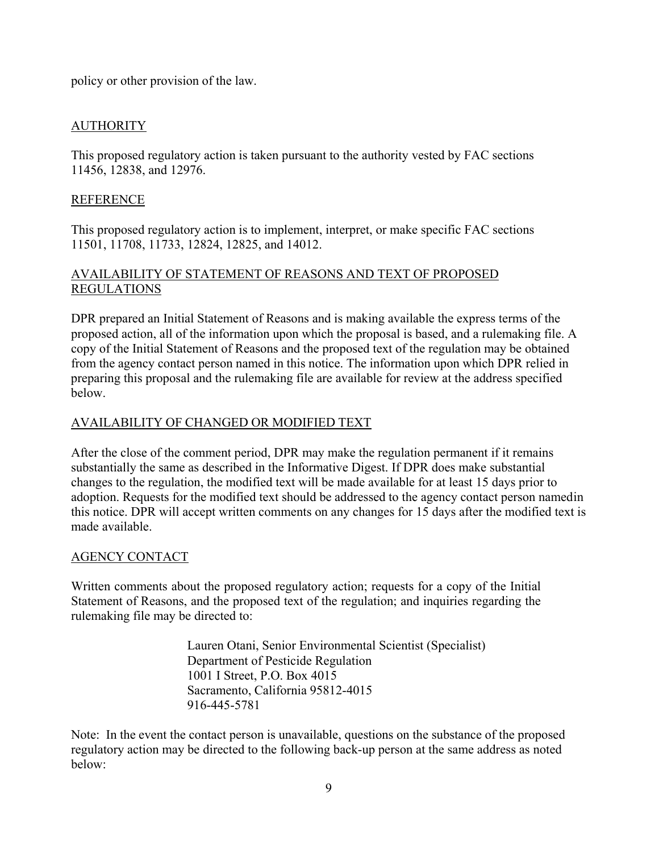policy or other provision of the law.

# AUTHORITY

This proposed regulatory action is taken pursuant to the authority vested by FAC sections 11456, 12838, and 12976.

## REFERENCE

This proposed regulatory action is to implement, interpret, or make specific FAC sections 11501, 11708, 11733, 12824, 12825, and 14012.

# AVAILABILITY OF STATEMENT OF REASONS AND TEXT OF PROPOSED REGULATIONS

DPR prepared an Initial Statement of Reasons and is making available the express terms of the proposed action, all of the information upon which the proposal is based, and a rulemaking file. A copy of the Initial Statement of Reasons and the proposed text of the regulation may be obtained from the agency contact person named in this notice. The information upon which DPR relied in preparing this proposal and the rulemaking file are available for review at the address specified below.

# AVAILABILITY OF CHANGED OR MODIFIED TEXT

After the close of the comment period, DPR may make the regulation permanent if it remains substantially the same as described in the Informative Digest. If DPR does make substantial changes to the regulation, the modified text will be made available for at least 15 days prior to adoption. Requests for the modified text should be addressed to the agency contact person named in this notice. DPR will accept written comments on any changes for 15 days after the modified text is made available.

# AGENCY CONTACT

Written comments about the proposed regulatory action; requests for a copy of the Initial Statement of Reasons, and the proposed text of the regulation; and inquiries regarding the rulemaking file may be directed to:

> Lauren Otani, Senior Environmental Scientist (Specialist) Department of Pesticide Regulation 1001 I Street, P.O. Box 4015 Sacramento, California 95812-4015 916-445-5781

Note: In the event the contact person is unavailable, questions on the substance of the proposed regulatory action may be directed to the following back-up person at the same address as noted below: